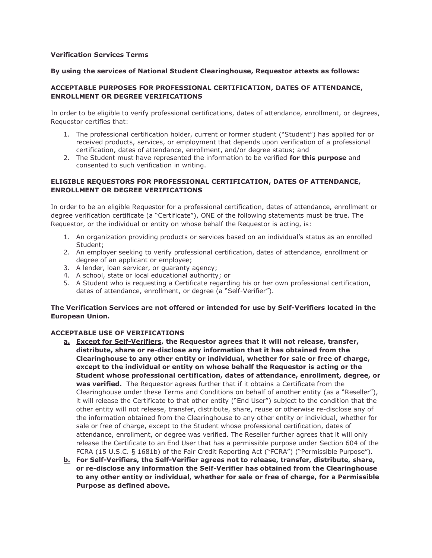#### **Verification Services Terms**

#### **By using the services of National Student Clearinghouse, Requestor attests as follows:**

# **ACCEPTABLE PURPOSES FOR PROFESSIONAL CERTIFICATION, DATES OF ATTENDANCE, ENROLLMENT OR DEGREE VERIFICATIONS**

In order to be eligible to verify professional certifications, dates of attendance, enrollment, or degrees, Requestor certifies that:

- 1. The professional certification holder, current or former student ("Student") has applied for or received products, services, or employment that depends upon verification of a professional certification, dates of attendance, enrollment, and/or degree status; and
- 2. The Student must have represented the information to be verified **for this purpose** and consented to such verification in writing.

# **ELIGIBLE REQUESTORS FOR PROFESSIONAL CERTIFICATION, DATES OF ATTENDANCE, ENROLLMENT OR DEGREE VERIFICATIONS**

In order to be an eligible Requestor for a professional certification, dates of attendance, enrollment or degree verification certificate (a "Certificate"), ONE of the following statements must be true. The Requestor, or the individual or entity on whose behalf the Requestor is acting, is:

- 1. An organization providing products or services based on an individual's status as an enrolled Student;
- 2. An employer seeking to verify professional certification, dates of attendance, enrollment or degree of an applicant or employee;
- 3. A lender, loan servicer, or guaranty agency;
- 4. A school, state or local educational authority; or
- 5. A Student who is requesting a Certificate regarding his or her own professional certification, dates of attendance, enrollment, or degree (a "Self-Verifier").

# **The Verification Services are not offered or intended for use by Self-Verifiers located in the European Union.**

# **ACCEPTABLE USE OF VERIFICATIONS**

- **a. Except for Self-Verifiers, the Requestor agrees that it will not release, transfer, distribute, share or re-disclose any information that it has obtained from the Clearinghouse to any other entity or individual, whether for sale or free of charge, except to the individual or entity on whose behalf the Requestor is acting or the Student whose professional certification, dates of attendance, enrollment, degree, or was verified.** The Requestor agrees further that if it obtains a Certificate from the Clearinghouse under these Terms and Conditions on behalf of another entity (as a "Reseller"), it will release the Certificate to that other entity ("End User") subject to the condition that the other entity will not release, transfer, distribute, share, reuse or otherwise re-disclose any of the information obtained from the Clearinghouse to any other entity or individual, whether for sale or free of charge, except to the Student whose professional certification, dates of attendance, enrollment, or degree was verified. The Reseller further agrees that it will only release the Certificate to an End User that has a permissible purpose under Section 604 of the FCRA (15 U.S.C. § 1681b) of the Fair Credit Reporting Act ("FCRA") ("Permissible Purpose").
- **b. For Self-Verifiers, the Self-Verifier agrees not to release, transfer, distribute, share, or re-disclose any information the Self-Verifier has obtained from the Clearinghouse to any other entity or individual, whether for sale or free of charge, for a Permissible Purpose as defined above.**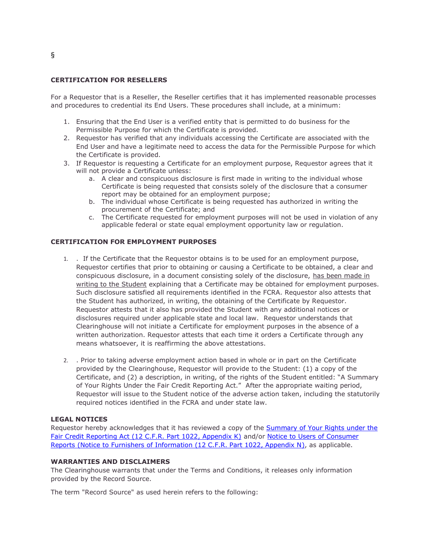#### **CERTIFICATION FOR RESELLERS**

For a Requestor that is a Reseller, the Reseller certifies that it has implemented reasonable processes and procedures to credential its End Users. These procedures shall include, at a minimum:

- 1. Ensuring that the End User is a verified entity that is permitted to do business for the Permissible Purpose for which the Certificate is provided.
- 2. Requestor has verified that any individuals accessing the Certificate are associated with the End User and have a legitimate need to access the data for the Permissible Purpose for which the Certificate is provided.
- 3. If Requestor is requesting a Certificate for an employment purpose, Requestor agrees that it will not provide a Certificate unless:
	- a. A clear and conspicuous disclosure is first made in writing to the individual whose Certificate is being requested that consists solely of the disclosure that a consumer report may be obtained for an employment purpose;
	- b. The individual whose Certificate is being requested has authorized in writing the procurement of the Certificate; and
	- c. The Certificate requested for employment purposes will not be used in violation of any applicable federal or state equal employment opportunity law or regulation.

#### **CERTIFICATION FOR EMPLOYMENT PURPOSES**

- 1. . If the Certificate that the Requestor obtains is to be used for an employment purpose, Requestor certifies that prior to obtaining or causing a Certificate to be obtained, a clear and conspicuous disclosure, in a document consisting solely of the disclosure, has been made in writing to the Student explaining that a Certificate may be obtained for employment purposes. Such disclosure satisfied all requirements identified in the FCRA. Requestor also attests that the Student has authorized, in writing, the obtaining of the Certificate by Requestor. Requestor attests that it also has provided the Student with any additional notices or disclosures required under applicable state and local law. Requestor understands that Clearinghouse will not initiate a Certificate for employment purposes in the absence of a written authorization. Requestor attests that each time it orders a Certificate through any means whatsoever, it is reaffirming the above attestations.
- 2. . Prior to taking adverse employment action based in whole or in part on the Certificate provided by the Clearinghouse, Requestor will provide to the Student: (1) a copy of the Certificate, and (2) a description, in writing, of the rights of the Student entitled: "A Summary of Your Rights Under the Fair Credit Reporting Act." After the appropriate waiting period, Requestor will issue to the Student notice of the adverse action taken, including the statutorily required notices identified in the FCRA and under state law.

#### **LEGAL NOTICES**

Requestor hereby acknowledges that it has reviewed a copy of the [Summary of Your Rights under the](https://files.consumerfinance.gov/f/201504_cfpb_summary_your-rights-under-fcra.pdf)  [Fair Credit Reporting Act \(12 C.F.R. Part 1022, Appendix K\)](https://files.consumerfinance.gov/f/201504_cfpb_summary_your-rights-under-fcra.pdf) and/or Notice to Users of Consumer [Reports \(Notice to Furnishers of Information \(12 C.F.R. Part 1022, Appendix N\),](https://www.assetcontrol.net/default/assets/File/Documents/Permissible_Use_Terms.pdf) as applicable.

# **WARRANTIES AND DISCLAIMERS**

The Clearinghouse warrants that under the Terms and Conditions, it releases only information provided by the Record Source.

The term "Record Source" as used herein refers to the following: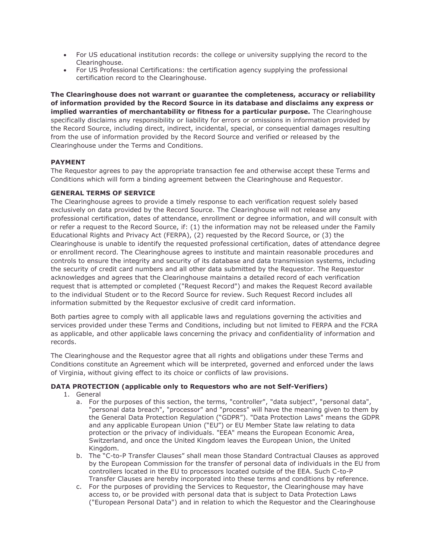- For US educational institution records: the college or university supplying the record to the Clearinghouse.
- For US Professional Certifications: the certification agency supplying the professional certification record to the Clearinghouse.

**The Clearinghouse does not warrant or guarantee the completeness, accuracy or reliability of information provided by the Record Source in its database and disclaims any express or implied warranties of merchantability or fitness for a particular purpose.** The Clearinghouse specifically disclaims any responsibility or liability for errors or omissions in information provided by the Record Source, including direct, indirect, incidental, special, or consequential damages resulting from the use of information provided by the Record Source and verified or released by the Clearinghouse under the Terms and Conditions.

# **PAYMENT**

The Requestor agrees to pay the appropriate transaction fee and otherwise accept these Terms and Conditions which will form a binding agreement between the Clearinghouse and Requestor.

# **GENERAL TERMS OF SERVICE**

The Clearinghouse agrees to provide a timely response to each verification request solely based exclusively on data provided by the Record Source. The Clearinghouse will not release any professional certification, dates of attendance, enrollment or degree information, and will consult with or refer a request to the Record Source, if: (1) the information may not be released under the Family Educational Rights and Privacy Act (FERPA), (2) requested by the Record Source, or (3) the Clearinghouse is unable to identify the requested professional certification, dates of attendance degree or enrollment record. The Clearinghouse agrees to institute and maintain reasonable procedures and controls to ensure the integrity and security of its database and data transmission systems, including the security of credit card numbers and all other data submitted by the Requestor. The Requestor acknowledges and agrees that the Clearinghouse maintains a detailed record of each verification request that is attempted or completed ("Request Record") and makes the Request Record available to the individual Student or to the Record Source for review. Such Request Record includes all information submitted by the Requestor exclusive of credit card information.

Both parties agree to comply with all applicable laws and regulations governing the activities and services provided under these Terms and Conditions, including but not limited to FERPA and the FCRA as applicable, and other applicable laws concerning the privacy and confidentiality of information and records.

The Clearinghouse and the Requestor agree that all rights and obligations under these Terms and Conditions constitute an Agreement which will be interpreted, governed and enforced under the laws of Virginia, without giving effect to its choice or conflicts of law provisions.

# **DATA PROTECTION (applicable only to Requestors who are not Self-Verifiers)**

- 1. General
	- a. For the purposes of this section, the terms, "controller", "data subject", "personal data", "personal data breach", "processor" and "process" will have the meaning given to them by the General Data Protection Regulation ("GDPR"). "Data Protection Laws" means the GDPR and any applicable European Union ("EU") or EU Member State law relating to data protection or the privacy of individuals. "EEA" means the European Economic Area, Switzerland, and once the United Kingdom leaves the European Union, the United Kingdom.
	- b. The "C-to-P Transfer Clauses" shall mean those Standard Contractual Clauses as approved by the European Commission for the transfer of personal data of individuals in the EU from controllers located in the EU to processors located outside of the EEA. Such C-to-P Transfer Clauses are hereby incorporated into these terms and conditions by reference.
	- c. For the purposes of providing the Services to Requestor, the Clearinghouse may have access to, or be provided with personal data that is subject to Data Protection Laws ("European Personal Data") and in relation to which the Requestor and the Clearinghouse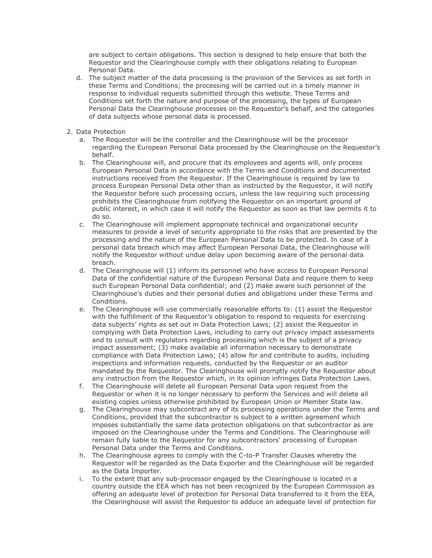are subject to certain obligations. This section is designed to help ensure that both the Requestor and the Clearinghouse comply with their obligations relating to European Personal Data.

- d. The subject matter of the data processing is the provision of the Services as set forth in these Terms and Conditions; the processing will be carried out in a timely manner in response to individual requests submitted through this website. These Terms and Conditions set forth the nature and purpose of the processing, the types of European Personal Data the Clearinghouse processes on the Requestor's behalf, and the categories of data subjects whose personal data is processed.
- 2. Data Protection
	- a. The Requestor will be the controller and the Clearinghouse will be the processor regarding the European Personal Data processed by the Clearinghouse on the Requestor's behalf.
	- b. The Clearinghouse will, and procure that its employees and agents will, only process European Personal Data in accordance with the Terms and Conditions and documented instructions received from the Requestor. If the Clearinghouse is required by law to process European Personal Data other than as instructed by the Requestor, it will notify the Requestor before such processing occurs, unless the law requiring such processing prohibits the Clearinghouse from notifying the Requestor on an important ground of public interest, in which case it will notify the Requestor as soon as that law permits it to do so.
	- c. The Clearinghouse will implement appropriate technical and organizational security measures to provide a level of security appropriate to the risks that are presented by the processing and the nature of the European Personal Data to be protected. In case of a personal data breach which may affect European Personal Data, the Clearinghouse will notify the Requestor without undue delay upon becoming aware of the personal data breach.
	- d. The Clearinghouse will (1) inform its personnel who have access to European Personal Data of the confidential nature of the European Personal Data and require them to keep such European Personal Data confidential; and (2) make aware such personnel of the Clearinghouse's duties and their personal duties and obligations under these Terms and Conditions.
	- e. The Clearinghouse will use commercially reasonable efforts to: (1) assist the Requestor with the fulfillment of the Requestor's obligation to respond to requests for exercising data subjects' rights as set out in Data Protection Laws; (2) assist the Requestor in complying with Data Protection Laws, including to carry out privacy impact assessments and to consult with regulators regarding processing which is the subject of a privacy impact assessment; (3) make available all information necessary to demonstrate compliance with Data Protection Laws; (4) allow for and contribute to audits, including inspections and information requests, conducted by the Requestor or an auditor mandated by the Requestor. The Clearinghouse will promptly notify the Requestor about any instruction from the Requestor which, in its opinion infringes Data Protection Laws.
	- f. The Clearinghouse will delete all European Personal Data upon request from the Requestor or when it is no longer necessary to perform the Services and will delete all existing copies unless otherwise prohibited by European Union or Member State law.
	- g. The Clearinghouse may subcontract any of its processing operations under the Terms and Conditions, provided that the subcontractor is subject to a written agreement which imposes substantially the same data protection obligations on that subcontractor as are imposed on the Clearinghouse under the Terms and Conditions. The Clearinghouse will remain fully liable to the Requestor for any subcontractors' processing of European Personal Data under the Terms and Conditions.
	- h. The Clearinghouse agrees to comply with the C-to-P Transfer Clauses whereby the Requestor will be regarded as the Data Exporter and the Clearinghouse will be regarded as the Data Importer.
	- i. To the extent that any sub-processor engaged by the Clearinghouse is located in a country outside the EEA which has not been recognized by the European Commission as offering an adequate level of protection for Personal Data transferred to it from the EEA, the Clearinghouse will assist the Requestor to adduce an adequate level of protection for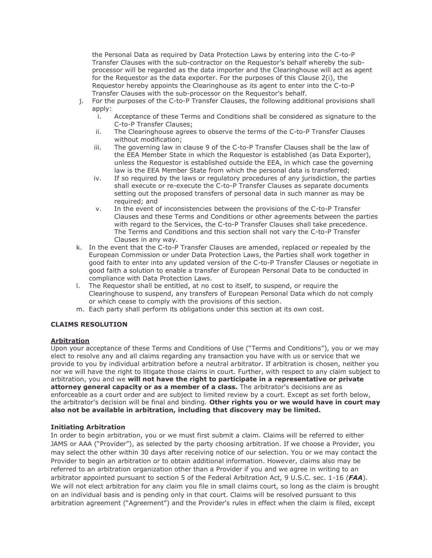the Personal Data as required by Data Protection Laws by entering into the C-to-P Transfer Clauses with the sub-contractor on the Requestor's behalf whereby the subprocessor will be regarded as the data importer and the Clearinghouse will act as agent for the Requestor as the data exporter. For the purposes of this Clause 2(i), the Requestor hereby appoints the Clearinghouse as its agent to enter into the C-to-P Transfer Clauses with the sub-processor on the Requestor's behalf.

- j. For the purposes of the C-to-P Transfer Clauses, the following additional provisions shall apply:
	- i. Acceptance of these Terms and Conditions shall be considered as signature to the C-to-P Transfer Clauses;
	- ii. The Clearinghouse agrees to observe the terms of the C-to-P Transfer Clauses without modification;
	- iii. The governing law in clause 9 of the C-to-P Transfer Clauses shall be the law of the EEA Member State in which the Requestor is established (as Data Exporter), unless the Requestor is established outside the EEA, in which case the governing law is the EEA Member State from which the personal data is transferred;
	- iv. If so required by the laws or regulatory procedures of any jurisdiction, the parties shall execute or re-execute the C-to-P Transfer Clauses as separate documents setting out the proposed transfers of personal data in such manner as may be required; and
	- v. In the event of inconsistencies between the provisions of the C-to-P Transfer Clauses and these Terms and Conditions or other agreements between the parties with regard to the Services, the C-to-P Transfer Clauses shall take precedence. The Terms and Conditions and this section shall not vary the C-to-P Transfer Clauses in any way.
- k. In the event that the C-to-P Transfer Clauses are amended, replaced or repealed by the European Commission or under Data Protection Laws, the Parties shall work together in good faith to enter into any updated version of the C-to-P Transfer Clauses or negotiate in good faith a solution to enable a transfer of European Personal Data to be conducted in compliance with Data Protection Laws.
- l. The Requestor shall be entitled, at no cost to itself, to suspend, or require the Clearinghouse to suspend, any transfers of European Personal Data which do not comply or which cease to comply with the provisions of this section.
- m. Each party shall perform its obligations under this section at its own cost.

# **CLAIMS RESOLUTION**

# **Arbitration**

Upon your acceptance of these Terms and Conditions of Use ("Terms and Conditions"), you or we may elect to resolve any and all claims regarding any transaction you have with us or service that we provide to you by individual arbitration before a neutral arbitrator. If arbitration is chosen, neither you nor we will have the right to litigate those claims in court. Further, with respect to any claim subject to arbitration, you and we **will not have the right to participate in a representative or private attorney general capacity or as a member of a class.** The arbitrator's decisions are as enforceable as a court order and are subject to limited review by a court. Except as set forth below, the arbitrator's decision will be final and binding. **Other rights you or we would have in court may also not be available in arbitration, including that discovery may be limited.**

# **Initiating Arbitration**

In order to begin arbitration, you or we must first submit a claim. Claims will be referred to either JAMS or AAA ("Provider"), as selected by the party choosing arbitration. If we choose a Provider, you may select the other within 30 days after receiving notice of our selection. You or we may contact the Provider to begin an arbitration or to obtain additional information. However, claims also may be referred to an arbitration organization other than a Provider if you and we agree in writing to an arbitrator appointed pursuant to section 5 of the Federal Arbitration Act, 9 U.S.C. sec. 1-16 (*FAA*). We will not elect arbitration for any claim you file in small claims court, so long as the claim is brought on an individual basis and is pending only in that court. Claims will be resolved pursuant to this arbitration agreement ("Agreement") and the Provider's rules in effect when the claim is filed, except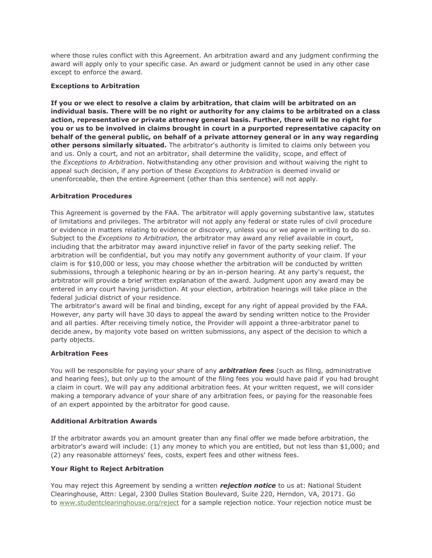where those rules conflict with this Agreement. An arbitration award and any judgment confirming the award will apply only to your specific case. An award or judgment cannot be used in any other case except to enforce the award.

#### **Exceptions to Arbitration**

**If you or we elect to resolve a claim by arbitration, that claim will be arbitrated on an individual basis. There will be no right or authority for any claims to be arbitrated on a class action, representative or private attorney general basis. Further, there will be no right for you or us to be involved in claims brought in court in a purported representative capacity on behalf of the general public, on behalf of a private attorney general or in any way regarding other persons similarly situated.** The arbitrator's authority is limited to claims only between you and us. Only a court, and not an arbitrator, shall determine the validity, scope, and effect of the *Exceptions to Arbitration*. Notwithstanding any other provision and without waiving the right to appeal such decision, if any portion of these *Exceptions to Arbitration* is deemed invalid or unenforceable, then the entire Agreement (other than this sentence) will not apply.

# **Arbitration Procedures**

This Agreement is governed by the FAA. The arbitrator will apply governing substantive law, statutes of limitations and privileges. The arbitrator will not apply any federal or state rules of civil procedure or evidence in matters relating to evidence or discovery, unless you or we agree in writing to do so. Subject to the *Exceptions to Arbitration,* the arbitrator may award any relief available in court, including that the arbitrator may award injunctive relief in favor of the party seeking relief. The arbitration will be confidential, but you may notify any government authority of your claim. If your claim is for \$10,000 or less, you may choose whether the arbitration will be conducted by written submissions, through a telephonic hearing or by an in-person hearing. At any party's request, the arbitrator will provide a brief written explanation of the award. Judgment upon any award may be entered in any court having jurisdiction. At your election, arbitration hearings will take place in the federal judicial district of your residence.

The arbitrator's award will be final and binding, except for any right of appeal provided by the FAA. However, any party will have 30 days to appeal the award by sending written notice to the Provider and all parties. After receiving timely notice, the Provider will appoint a three-arbitrator panel to decide anew, by majority vote based on written submissions, any aspect of the decision to which a party objects.

#### **Arbitration Fees**

You will be responsible for paying your share of any *arbitration fees* (such as filing, administrative and hearing fees), but only up to the amount of the filing fees you would have paid if you had brought a claim in court. We will pay any additional arbitration fees. At your written request, we will consider making a temporary advance of your share of any arbitration fees, or paying for the reasonable fees of an expert appointed by the arbitrator for good cause.

#### **Additional Arbitration Awards**

If the arbitrator awards you an amount greater than any final offer we made before arbitration, the arbitrator's award will include: (1) any money to which you are entitled, but not less than \$1,000; and (2) any reasonable attorneys' fees, costs, expert fees and other witness fees.

# **Your Right to Reject Arbitration**

You may reject this Agreement by sending a written *rejection notice* to us at: National Student Clearinghouse, Attn: Legal, 2300 Dulles Station Boulevard, Suite 220, Herndon, VA, 20171. Go to [www.studentclearinghouse.org/reject](https://www.studentclearinghouse.org/reject) for a sample rejection notice. Your rejection notice must be